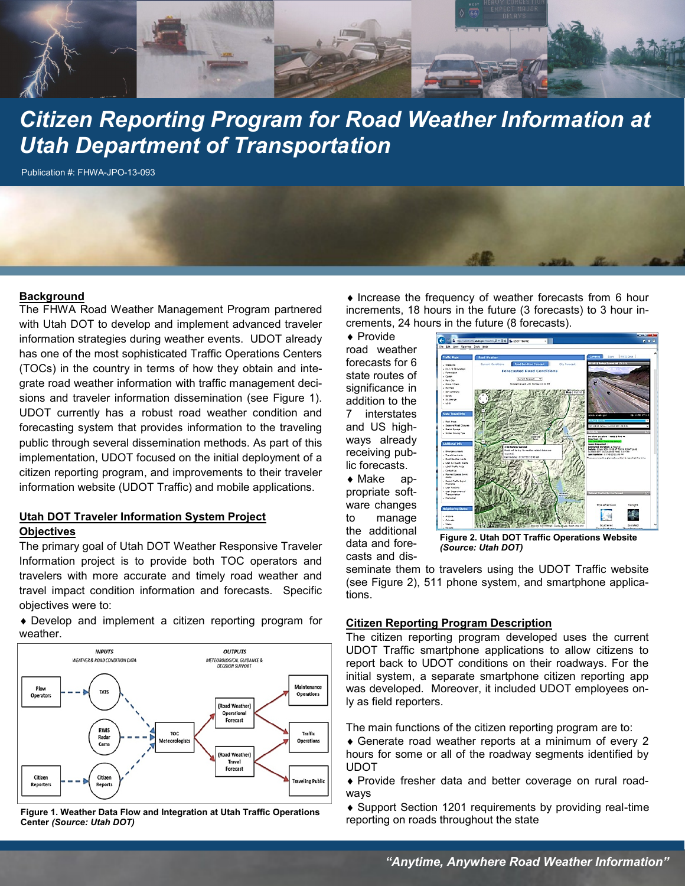

# *Citizen Reporting Program for Road Weather Information at Utah Department of Transportation*

Publication #: FHWA-JPO-13-093

#### **Background**

The FHWA Road Weather Management Program partnered with Utah DOT to develop and implement advanced traveler information strategies during weather events. UDOT already has one of the most sophisticated Traffic Operations Centers (TOCs) in the country in terms of how they obtain and integrate road weather information with traffic management decisions and traveler information dissemination (see Figure 1). UDOT currently has a robust road weather condition and forecasting system that provides information to the traveling public through several dissemination methods. As part of this implementation, UDOT focused on the initial deployment of a citizen reporting program, and improvements to their traveler information website (UDOT Traffic) and mobile applications.

## **Utah DOT Traveler Information System Project Objectives**

The primary goal of Utah DOT Weather Responsive Traveler Information project is to provide both TOC operators and travelers with more accurate and timely road weather and travel impact condition information and forecasts. Specific objectives were to:

 Develop and implement a citizen reporting program for weather.



**Figure 1. Weather Data Flow and Integration at Utah Traffic Operations Center** *(Source: Utah DOT)*

 $\bullet$  Increase the frequency of weather forecasts from 6 hour increments, 18 hours in the future (3 forecasts) to 3 hour increments, 24 hours in the future (8 forecasts).

◆ Provide road weather forecasts for 6 state routes of significance in addition to the 7 interstates and US highways already receiving public forecasts. Make ap-

propriate software changes to manage the additional data and forecasts and dis-



**Figure 2. Utah DOT Traffic Operations Website**  *(Source: Utah DOT)*

seminate them to travelers using the UDOT Traffic website (see Figure 2), 511 phone system, and smartphone applications.

### **Citizen Reporting Program Description**

The citizen reporting program developed uses the current UDOT Traffic smartphone applications to allow citizens to report back to UDOT conditions on their roadways. For the initial system, a separate smartphone citizen reporting app was developed. Moreover, it included UDOT employees only as field reporters.

The main functions of the citizen reporting program are to:

 Generate road weather reports at a minimum of every 2 hours for some or all of the roadway segments identified by UDOT

 Provide fresher data and better coverage on rural roadways

 Support Section 1201 requirements by providing real-time reporting on roads throughout the state